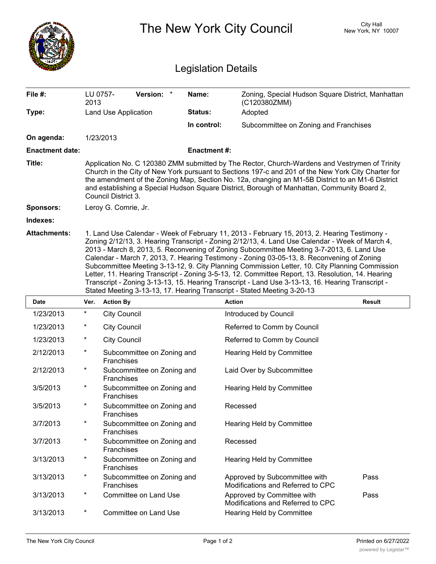|                            | The New York City Council                                                                                                                                                                                                                                                                                                                                                                                                                                                                                                                                                                                                                                                                                                                                                        |                                          |                    |                                                                    | City Hall<br>New York, NY 10007 |  |  |  |
|----------------------------|----------------------------------------------------------------------------------------------------------------------------------------------------------------------------------------------------------------------------------------------------------------------------------------------------------------------------------------------------------------------------------------------------------------------------------------------------------------------------------------------------------------------------------------------------------------------------------------------------------------------------------------------------------------------------------------------------------------------------------------------------------------------------------|------------------------------------------|--------------------|--------------------------------------------------------------------|---------------------------------|--|--|--|
| <b>Legislation Details</b> |                                                                                                                                                                                                                                                                                                                                                                                                                                                                                                                                                                                                                                                                                                                                                                                  |                                          |                    |                                                                    |                                 |  |  |  |
| File #:                    | LU 0757-<br>2013                                                                                                                                                                                                                                                                                                                                                                                                                                                                                                                                                                                                                                                                                                                                                                 | <b>Version:</b>                          | Name:              | Zoning, Special Hudson Square District, Manhattan<br>(C120380ZMM)  |                                 |  |  |  |
| Type:                      |                                                                                                                                                                                                                                                                                                                                                                                                                                                                                                                                                                                                                                                                                                                                                                                  | Land Use Application                     | Status:            | Adopted                                                            |                                 |  |  |  |
|                            |                                                                                                                                                                                                                                                                                                                                                                                                                                                                                                                                                                                                                                                                                                                                                                                  |                                          | In control:        | Subcommittee on Zoning and Franchises                              |                                 |  |  |  |
| On agenda:                 |                                                                                                                                                                                                                                                                                                                                                                                                                                                                                                                                                                                                                                                                                                                                                                                  | 1/23/2013                                |                    |                                                                    |                                 |  |  |  |
| <b>Enactment date:</b>     |                                                                                                                                                                                                                                                                                                                                                                                                                                                                                                                                                                                                                                                                                                                                                                                  |                                          | <b>Enactment#:</b> |                                                                    |                                 |  |  |  |
| Title:                     | Application No. C 120380 ZMM submitted by The Rector, Church-Wardens and Vestrymen of Trinity<br>Church in the City of New York pursuant to Sections 197-c and 201 of the New York City Charter for<br>the amendment of the Zoning Map, Section No. 12a, changing an M1-5B District to an M1-6 District<br>and establishing a Special Hudson Square District, Borough of Manhattan, Community Board 2,<br>Council District 3.                                                                                                                                                                                                                                                                                                                                                    |                                          |                    |                                                                    |                                 |  |  |  |
| <b>Sponsors:</b>           |                                                                                                                                                                                                                                                                                                                                                                                                                                                                                                                                                                                                                                                                                                                                                                                  | Leroy G. Comrie, Jr.                     |                    |                                                                    |                                 |  |  |  |
| Indexes:                   |                                                                                                                                                                                                                                                                                                                                                                                                                                                                                                                                                                                                                                                                                                                                                                                  |                                          |                    |                                                                    |                                 |  |  |  |
| <b>Attachments:</b>        | 1. Land Use Calendar - Week of February 11, 2013 - February 15, 2013, 2. Hearing Testimony -<br>Zoning 2/12/13, 3. Hearing Transcript - Zoning 2/12/13, 4. Land Use Calendar - Week of March 4,<br>2013 - March 8, 2013, 5. Reconvening of Zoning Subcommittee Meeting 3-7-2013, 6. Land Use<br>Calendar - March 7, 2013, 7. Hearing Testimony - Zoning 03-05-13, 8. Reconvening of Zoning<br>Subcommittee Meeting 3-13-12, 9. City Planning Commission Letter, 10. City Planning Commission<br>Letter, 11. Hearing Transcript - Zoning 3-5-13, 12. Committee Report, 13. Resolution, 14. Hearing<br>Transcript - Zoning 3-13-13, 15. Hearing Transcript - Land Use 3-13-13, 16. Hearing Transcript -<br>Stated Meeting 3-13-13, 17. Hearing Transcript - Stated Meeting 3-20-13 |                                          |                    |                                                                    |                                 |  |  |  |
| <b>Date</b>                | Ver.                                                                                                                                                                                                                                                                                                                                                                                                                                                                                                                                                                                                                                                                                                                                                                             | <b>Action By</b>                         |                    | <b>Action</b>                                                      | <b>Result</b>                   |  |  |  |
| 1/23/2013                  | *                                                                                                                                                                                                                                                                                                                                                                                                                                                                                                                                                                                                                                                                                                                                                                                | <b>City Council</b>                      |                    | Introduced by Council                                              |                                 |  |  |  |
| 1/23/2013                  | *                                                                                                                                                                                                                                                                                                                                                                                                                                                                                                                                                                                                                                                                                                                                                                                | <b>City Council</b>                      |                    | Referred to Comm by Council                                        |                                 |  |  |  |
| 1/23/2013                  | *                                                                                                                                                                                                                                                                                                                                                                                                                                                                                                                                                                                                                                                                                                                                                                                | <b>City Council</b>                      |                    | Referred to Comm by Council                                        |                                 |  |  |  |
| 2/12/2013                  | $^\star$                                                                                                                                                                                                                                                                                                                                                                                                                                                                                                                                                                                                                                                                                                                                                                         | Subcommittee on Zoning and<br>Franchises |                    | Hearing Held by Committee                                          |                                 |  |  |  |
| 2/12/2013                  | $\ast$                                                                                                                                                                                                                                                                                                                                                                                                                                                                                                                                                                                                                                                                                                                                                                           | Subcommittee on Zoning and<br>Franchises |                    | Laid Over by Subcommittee                                          |                                 |  |  |  |
| 3/5/2013                   | $^\star$                                                                                                                                                                                                                                                                                                                                                                                                                                                                                                                                                                                                                                                                                                                                                                         | Subcommittee on Zoning and<br>Franchises |                    | Hearing Held by Committee                                          |                                 |  |  |  |
| 3/5/2013                   | $^\star$                                                                                                                                                                                                                                                                                                                                                                                                                                                                                                                                                                                                                                                                                                                                                                         | Subcommittee on Zoning and<br>Franchises |                    | Recessed                                                           |                                 |  |  |  |
| 3/7/2013                   | $^\star$                                                                                                                                                                                                                                                                                                                                                                                                                                                                                                                                                                                                                                                                                                                                                                         | Subcommittee on Zoning and<br>Franchises |                    | Hearing Held by Committee                                          |                                 |  |  |  |
| 3/7/2013                   | $^\star$                                                                                                                                                                                                                                                                                                                                                                                                                                                                                                                                                                                                                                                                                                                                                                         | Subcommittee on Zoning and<br>Franchises |                    | Recessed                                                           |                                 |  |  |  |
| 3/13/2013                  | $^\star$                                                                                                                                                                                                                                                                                                                                                                                                                                                                                                                                                                                                                                                                                                                                                                         | Subcommittee on Zoning and<br>Franchises |                    | Hearing Held by Committee                                          |                                 |  |  |  |
| 3/13/2013                  | $^\star$                                                                                                                                                                                                                                                                                                                                                                                                                                                                                                                                                                                                                                                                                                                                                                         | Subcommittee on Zoning and<br>Franchises |                    | Approved by Subcommittee with<br>Modifications and Referred to CPC | Pass                            |  |  |  |
| 3/13/2013                  | $^\star$                                                                                                                                                                                                                                                                                                                                                                                                                                                                                                                                                                                                                                                                                                                                                                         | <b>Committee on Land Use</b>             |                    | Approved by Committee with<br>Modifications and Referred to CPC    | Pass                            |  |  |  |
| 3/13/2013                  | $^{\ast}$                                                                                                                                                                                                                                                                                                                                                                                                                                                                                                                                                                                                                                                                                                                                                                        | Committee on Land Use                    |                    | Hearing Held by Committee                                          |                                 |  |  |  |